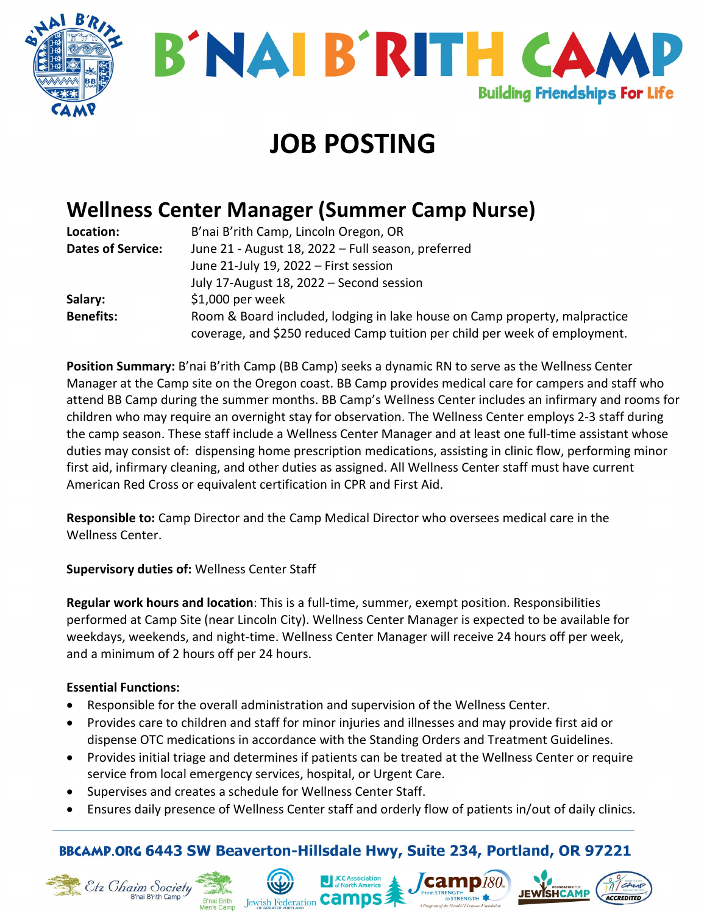



# **JOB POSTING**

## **Wellness Center Manager (Summer Camp Nurse)**

| Location:                | B'nai B'rith Camp, Lincoln Oregon, OR                                      |
|--------------------------|----------------------------------------------------------------------------|
| <b>Dates of Service:</b> | June 21 - August 18, 2022 - Full season, preferred                         |
|                          | June 21-July 19, 2022 - First session                                      |
|                          | July 17-August 18, 2022 - Second session                                   |
| Salary:                  | $$1,000$ per week                                                          |
| <b>Benefits:</b>         | Room & Board included, lodging in lake house on Camp property, malpractice |
|                          | coverage, and \$250 reduced Camp tuition per child per week of employment. |

**Position Summary:** B'nai B'rith Camp (BB Camp) seeks a dynamic RN to serve as the Wellness Center Manager at the Camp site on the Oregon coast. BB Camp provides medical care for campers and staff who attend BB Camp during the summer months. BB Camp's Wellness Center includes an infirmary and rooms for children who may require an overnight stay for observation. The Wellness Center employs 2-3 staff during the camp season. These staff include a Wellness Center Manager and at least one full-time assistant whose duties may consist of: dispensing home prescription medications, assisting in clinic flow, performing minor first aid, infirmary cleaning, and other duties as assigned. All Wellness Center staff must have current American Red Cross or equivalent certification in CPR and First Aid.

**Responsible to:** Camp Director and the Camp Medical Director who oversees medical care in the Wellness Center.

#### **Supervisory duties of:** Wellness Center Staff

**Regular work hours and location**: This is a full-time, summer, exempt position. Responsibilities performed at Camp Site (near Lincoln City). Wellness Center Manager is expected to be available for weekdays, weekends, and night-time. Wellness Center Manager will receive 24 hours off per week, and a minimum of 2 hours off per 24 hours.

#### **Essential Functions:**

- Responsible for the overall administration and supervision of the Wellness Center.
- Provides care to children and staff for minor injuries and illnesses and may provide first aid or dispense OTC medications in accordance with the Standing Orders and Treatment Guidelines.
- Provides initial triage and determines if patients can be treated at the Wellness Center or require service from local emergency services, hospital, or Urgent Care.
- Supervises and creates a schedule for Wellness Center Staff.
- Ensures daily presence of Wellness Center staff and orderly flow of patients in/out of daily clinics.

### BBCAMP.ORG 6443 SW Beaverton-Hillsdale Hwy, Suite 234, Portland, OR 97221

ACCREDITED





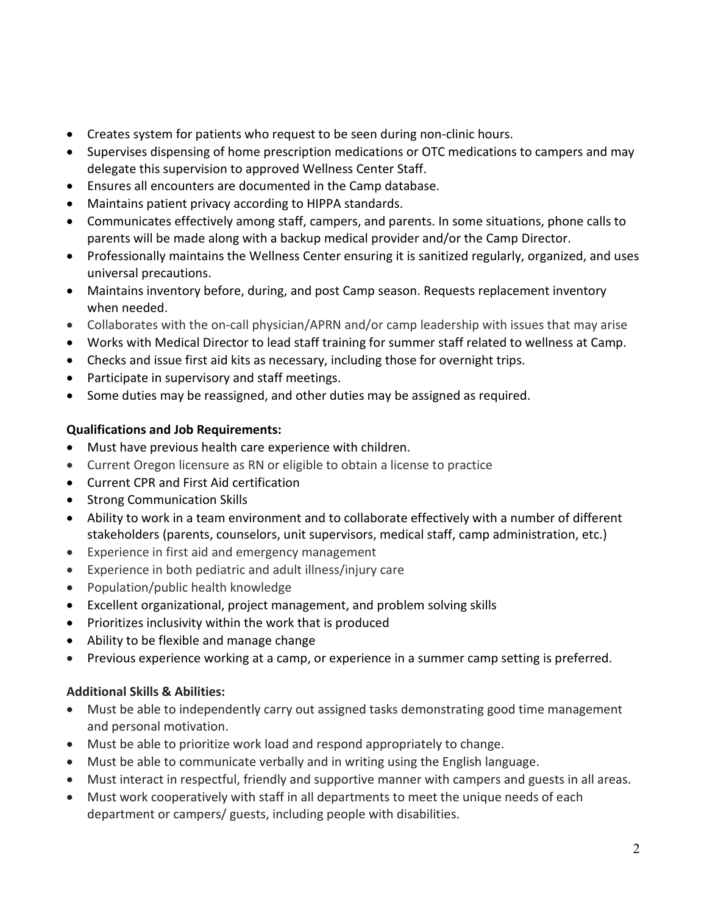- Creates system for patients who request to be seen during non-clinic hours.
- Supervises dispensing of home prescription medications or OTC medications to campers and may delegate this supervision to approved Wellness Center Staff.
- Ensures all encounters are documented in the Camp database.
- Maintains patient privacy according to HIPPA standards.
- Communicates effectively among staff, campers, and parents. In some situations, phone calls to parents will be made along with a backup medical provider and/or the Camp Director.
- Professionally maintains the Wellness Center ensuring it is sanitized regularly, organized, and uses universal precautions.
- Maintains inventory before, during, and post Camp season. Requests replacement inventory when needed.
- Collaborates with the on-call physician/APRN and/or camp leadership with issues that may arise
- Works with Medical Director to lead staff training for summer staff related to wellness at Camp.
- Checks and issue first aid kits as necessary, including those for overnight trips.
- Participate in supervisory and staff meetings.
- Some duties may be reassigned, and other duties may be assigned as required.

#### **Qualifications and Job Requirements:**

- Must have previous health care experience with children.
- Current Oregon licensure as RN or eligible to obtain a license to practice
- Current CPR and First Aid certification
- Strong Communication Skills
- Ability to work in a team environment and to collaborate effectively with a number of different stakeholders (parents, counselors, unit supervisors, medical staff, camp administration, etc.)
- Experience in first aid and emergency management
- Experience in both pediatric and adult illness/injury care
- Population/public health knowledge
- Excellent organizational, project management, and problem solving skills
- Prioritizes inclusivity within the work that is produced
- Ability to be flexible and manage change
- Previous experience working at a camp, or experience in a summer camp setting is preferred.

#### **Additional Skills & Abilities:**

- Must be able to independently carry out assigned tasks demonstrating good time management and personal motivation.
- Must be able to prioritize work load and respond appropriately to change.
- Must be able to communicate verbally and in writing using the English language.
- Must interact in respectful, friendly and supportive manner with campers and guests in all areas.
- Must work cooperatively with staff in all departments to meet the unique needs of each department or campers/ guests, including people with disabilities.